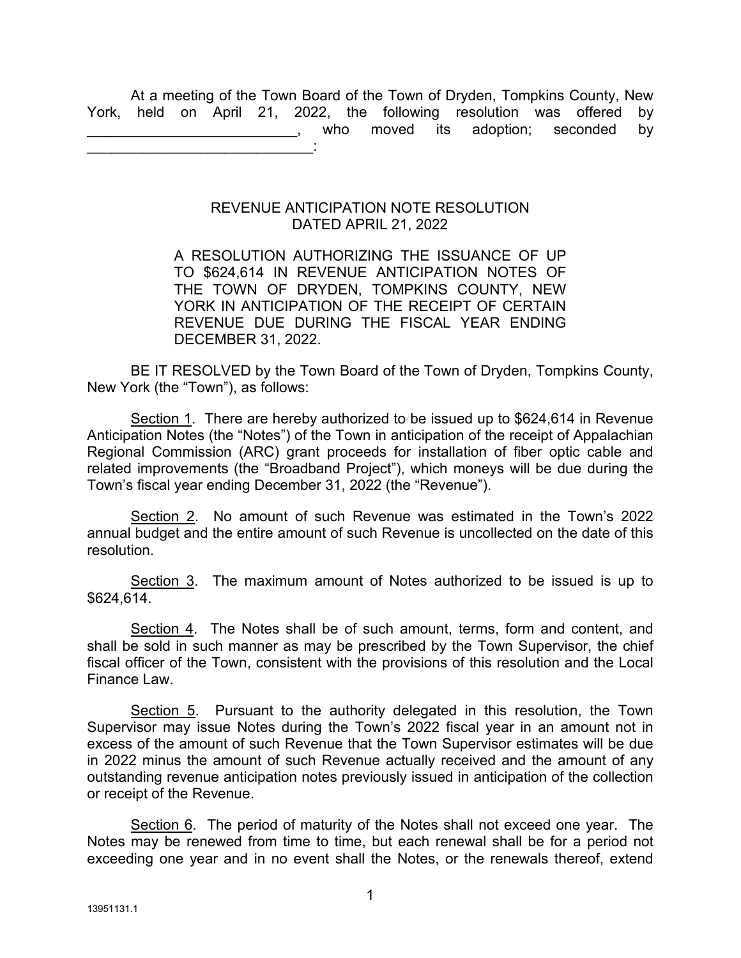At a meeting of the Town Board of the Town of Dryden, Tompkins County, New York, held on April 21, 2022, the following resolution was offered by who moved its adoption; seconded by \_\_\_\_\_\_\_\_\_\_\_\_\_\_\_\_\_\_\_\_\_\_\_\_\_\_\_\_:

## REVENUE ANTICIPATION NOTE RESOLUTION DATED APRIL 21, 2022

A RESOLUTION AUTHORIZING THE ISSUANCE OF UP TO \$624,614 IN REVENUE ANTICIPATION NOTES OF THE TOWN OF DRYDEN, TOMPKINS COUNTY, NEW YORK IN ANTICIPATION OF THE RECEIPT OF CERTAIN REVENUE DUE DURING THE FISCAL YEAR ENDING DECEMBER 31, 2022.

BE IT RESOLVED by the Town Board of the Town of Dryden, Tompkins County, New York (the "Town"), as follows:

Section 1. There are hereby authorized to be issued up to \$624,614 in Revenue Anticipation Notes (the "Notes") of the Town in anticipation of the receipt of Appalachian Regional Commission (ARC) grant proceeds for installation of fiber optic cable and related improvements (the "Broadband Project"), which moneys will be due during the Town's fiscal year ending December 31, 2022 (the "Revenue").

Section 2. No amount of such Revenue was estimated in the Town's 2022 annual budget and the entire amount of such Revenue is uncollected on the date of this resolution.

Section 3. The maximum amount of Notes authorized to be issued is up to \$624,614.

Section 4. The Notes shall be of such amount, terms, form and content, and shall be sold in such manner as may be prescribed by the Town Supervisor, the chief fiscal officer of the Town, consistent with the provisions of this resolution and the Local Finance Law.

Section 5. Pursuant to the authority delegated in this resolution, the Town Supervisor may issue Notes during the Town's 2022 fiscal year in an amount not in excess of the amount of such Revenue that the Town Supervisor estimates will be due in 2022 minus the amount of such Revenue actually received and the amount of any outstanding revenue anticipation notes previously issued in anticipation of the collection or receipt of the Revenue.

Section 6. The period of maturity of the Notes shall not exceed one year. The Notes may be renewed from time to time, but each renewal shall be for a period not exceeding one year and in no event shall the Notes, or the renewals thereof, extend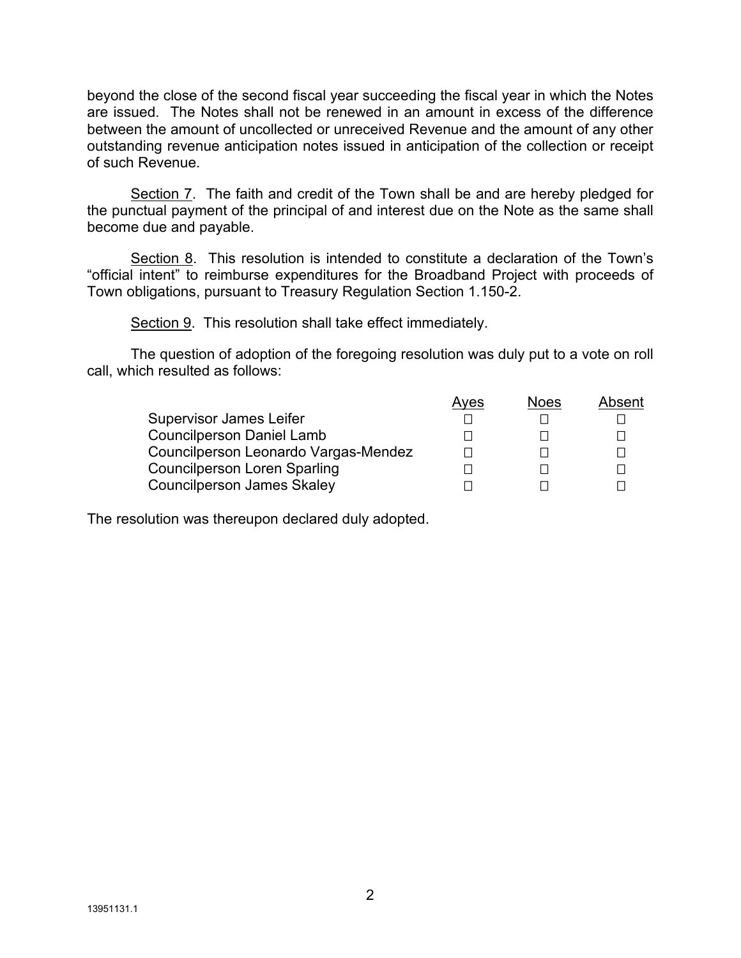beyond the close of the second fiscal year succeeding the fiscal year in which the Notes are issued. The Notes shall not be renewed in an amount in excess of the difference between the amount of uncollected or unreceived Revenue and the amount of any other outstanding revenue anticipation notes issued in anticipation of the collection or receipt of such Revenue.

Section 7. The faith and credit of the Town shall be and are hereby pledged for the punctual payment of the principal of and interest due on the Note as the same shall become due and payable.

Section 8. This resolution is intended to constitute a declaration of the Town's "official intent" to reimburse expenditures for the Broadband Project with proceeds of Town obligations, pursuant to Treasury Regulation Section 1.150-2.

Section 9. This resolution shall take effect immediately.

The question of adoption of the foregoing resolution was duly put to a vote on roll call, which resulted as follows:

|                                      | Aves | <b>Noes</b> | Absent |
|--------------------------------------|------|-------------|--------|
| <b>Supervisor James Leifer</b>       |      |             |        |
| <b>Councilperson Daniel Lamb</b>     |      |             |        |
| Councilperson Leonardo Vargas-Mendez |      |             |        |
| <b>Councilperson Loren Sparling</b>  |      |             |        |
| <b>Councilperson James Skaley</b>    |      |             |        |

The resolution was thereupon declared duly adopted.